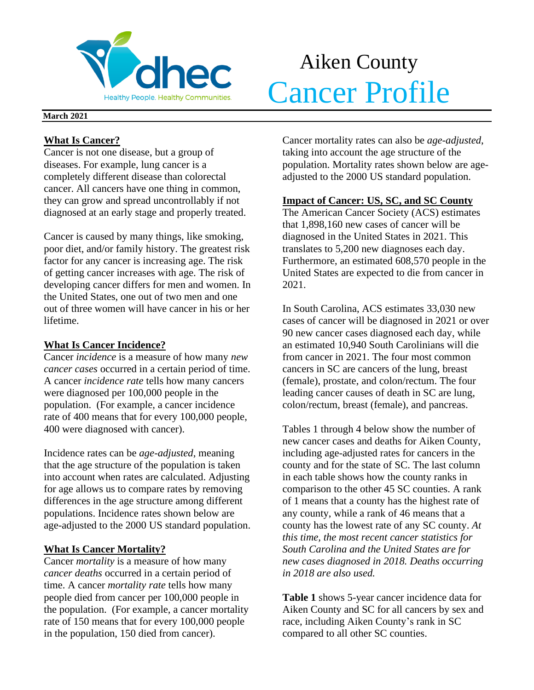

# Aiken County **Volhec** Cancer Profile

#### **March 2021**

#### **What Is Cancer?**

Cancer is not one disease, but a group of diseases. For example, lung cancer is a completely different disease than colorectal cancer. All cancers have one thing in common, they can grow and spread uncontrollably if not diagnosed at an early stage and properly treated.

Cancer is caused by many things, like smoking, poor diet, and/or family history. The greatest risk factor for any cancer is increasing age. The risk of getting cancer increases with age. The risk of developing cancer differs for men and women. In the United States, one out of two men and one out of three women will have cancer in his or her lifetime.

#### **What Is Cancer Incidence?**

Cancer *incidence* is a measure of how many *new cancer cases* occurred in a certain period of time. A cancer *incidence rate* tells how many cancers were diagnosed per 100,000 people in the population. (For example, a cancer incidence rate of 400 means that for every 100,000 people, 400 were diagnosed with cancer).

Incidence rates can be *age-adjusted*, meaning that the age structure of the population is taken into account when rates are calculated. Adjusting for age allows us to compare rates by removing differences in the age structure among different populations. Incidence rates shown below are age-adjusted to the 2000 US standard population.

### **What Is Cancer Mortality?**

Cancer *mortality* is a measure of how many *cancer deaths* occurred in a certain period of time. A cancer *mortality rate* tells how many people died from cancer per 100,000 people in the population. (For example, a cancer mortality rate of 150 means that for every 100,000 people in the population, 150 died from cancer).

Cancer mortality rates can also be *age-adjusted*, taking into account the age structure of the population. Mortality rates shown below are ageadjusted to the 2000 US standard population.

#### **Impact of Cancer: US, SC, and SC County**

The American Cancer Society (ACS) estimates that 1,898,160 new cases of cancer will be diagnosed in the United States in 2021. This translates to 5,200 new diagnoses each day. Furthermore, an estimated 608,570 people in the United States are expected to die from cancer in 2021.

In South Carolina, ACS estimates 33,030 new cases of cancer will be diagnosed in 2021 or over 90 new cancer cases diagnosed each day, while an estimated 10,940 South Carolinians will die from cancer in 2021. The four most common cancers in SC are cancers of the lung, breast (female), prostate, and colon/rectum. The four leading cancer causes of death in SC are lung, colon/rectum, breast (female), and pancreas.

Tables 1 through 4 below show the number of new cancer cases and deaths for Aiken County, including age-adjusted rates for cancers in the county and for the state of SC. The last column in each table shows how the county ranks in comparison to the other 45 SC counties. A rank of 1 means that a county has the highest rate of any county, while a rank of 46 means that a county has the lowest rate of any SC county. *At this time, the most recent cancer statistics for South Carolina and the United States are for new cases diagnosed in 2018. Deaths occurring in 2018 are also used.*

**Table 1** shows 5-year cancer incidence data for Aiken County and SC for all cancers by sex and race, including Aiken County's rank in SC compared to all other SC counties.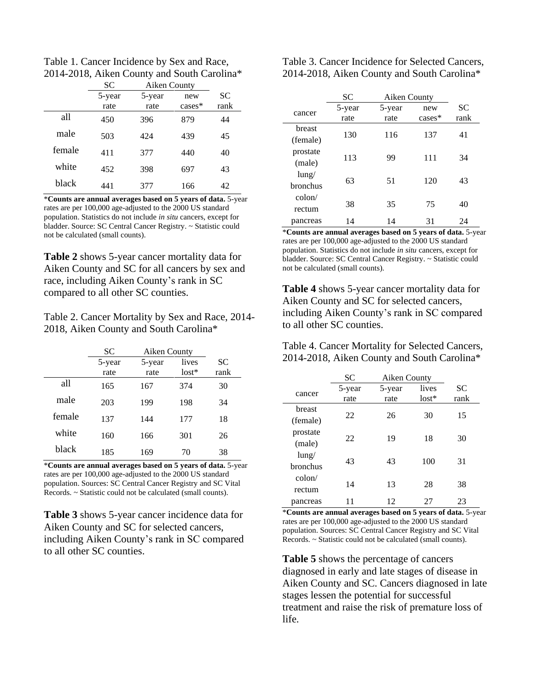Table 1. Cancer Incidence by Sex and Race, 2014-2018, Aiken County and South Carolina\*

|        | <b>SC</b> | Aiken County |           |           |
|--------|-----------|--------------|-----------|-----------|
|        | 5-year    | 5-year       | new       | <b>SC</b> |
|        | rate      | rate         | $cases^*$ | rank      |
| all    | 450       | 396          | 879       | 44        |
| male   | 503       | 424          | 439       | 45        |
| female | 411       | 377          | 440       | 40        |
| white  | 452       | 398          | 697       | 43        |
| black  | 441       | 377          | 166       | 42        |

\***Counts are annual averages based on 5 years of data.** 5-year rates are per 100,000 age-adjusted to the 2000 US standard population. Statistics do not include *in situ* cancers, except for bladder. Source: SC Central Cancer Registry. ~ Statistic could not be calculated (small counts).

**Table 2** shows 5-year cancer mortality data for Aiken County and SC for all cancers by sex and race, including Aiken County's rank in SC compared to all other SC counties.

Table 2. Cancer Mortality by Sex and Race, 2014- 2018, Aiken County and South Carolina\*

|        | <b>SC</b>      | Aiken County   |                  |                   |
|--------|----------------|----------------|------------------|-------------------|
|        | 5-year<br>rate | 5-year<br>rate | lives<br>$lost*$ | <b>SC</b><br>rank |
| all    | 165            | 167            | 374              | 30                |
| male   | 203            | 199            | 198              | 34                |
| female | 137            | 144            | 177              | 18                |
| white  | 160            | 166            | 301              | 26                |
| black  | 185            | 169            | 70               | 38                |

\***Counts are annual averages based on 5 years of data.** 5-year rates are per 100,000 age-adjusted to the 2000 US standard population. Sources: SC Central Cancer Registry and SC Vital Records. ~ Statistic could not be calculated (small counts).

**Table 3** shows 5-year cancer incidence data for Aiken County and SC for selected cancers, including Aiken County's rank in SC compared to all other SC counties.

Table 3. Cancer Incidence for Selected Cancers, 2014-2018, Aiken County and South Carolina\*

|                 | SС     | Aiken County |           |           |
|-----------------|--------|--------------|-----------|-----------|
| cancer          | 5-year | 5-year       | new       | <b>SC</b> |
|                 | rate   | rate         | $cases^*$ | rank      |
| breast          |        |              |           |           |
| (female)        | 130    | 116          | 137       | 41        |
| prostate        |        | 99           | 111       |           |
| (male)          | 113    |              |           | 34        |
| $l$ ung/        |        |              |           |           |
| bronchus        | 63     | 51           | 120       | 43        |
| $\text{colon}/$ |        |              |           |           |
| rectum          | 38     | 35           | 75        | 40        |
| pancreas        | 14     | 14           | 31        | 24        |

\***Counts are annual averages based on 5 years of data.** 5-year rates are per 100,000 age-adjusted to the 2000 US standard population. Statistics do not include *in situ* cancers, except for bladder. Source: SC Central Cancer Registry. ~ Statistic could not be calculated (small counts).

**Table 4** shows 5-year cancer mortality data for Aiken County and SC for selected cancers, including Aiken County's rank in SC compared to all other SC counties.

Table 4. Cancer Mortality for Selected Cancers, 2014-2018, Aiken County and South Carolina\*

|                           | <b>SC</b>      | Aiken County   |                  |            |
|---------------------------|----------------|----------------|------------------|------------|
| cancer                    | 5-year<br>rate | 5-year<br>rate | lives<br>$lost*$ | SС<br>rank |
| breast<br>(female)        | 22             | 26             | 30               | 15         |
| prostate<br>(male)        | 22             | 19             | 18               | 30         |
| lung/<br>bronchus         | 43             | 43             | 100              | 31         |
| $\text{colon}/$<br>rectum | 14             | 13             | 28               | 38         |
| pancreas                  |                | 12             | 27               | 23         |

\***Counts are annual averages based on 5 years of data.** 5-year rates are per 100,000 age-adjusted to the 2000 US standard population. Sources: SC Central Cancer Registry and SC Vital Records. ~ Statistic could not be calculated (small counts).

**Table 5** shows the percentage of cancers diagnosed in early and late stages of disease in Aiken County and SC. Cancers diagnosed in late stages lessen the potential for successful treatment and raise the risk of premature loss of life.